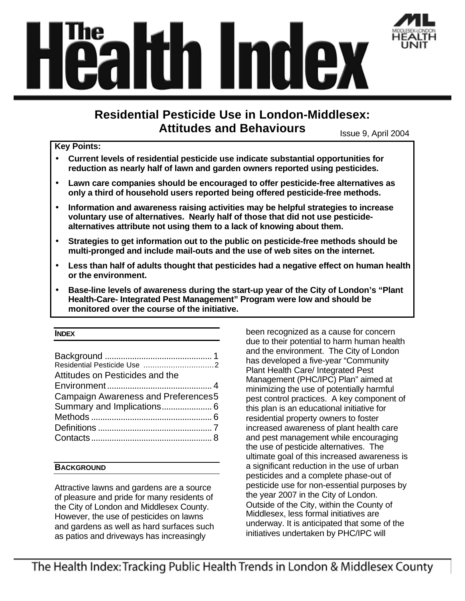

# **Residential Pesticide Use in London-Middlesex: Attitudes and Behaviours** Issue 9, April 2004

#### **Key Points:**

- **Current levels of residential pesticide use indicate substantial opportunities for reduction as nearly half of lawn and garden owners reported using pesticides.**
- **Lawn care companies should be encouraged to offer pesticide-free alternatives as only a third of household users reported being offered pesticide-free methods.**
- **Information and awareness raising activities may be helpful strategies to increase voluntary use of alternatives. Nearly half of those that did not use pesticidealternatives attribute not using them to a lack of knowing about them.**
- **Strategies to get information out to the public on pesticide-free methods should be multi-pronged and include mail-outs and the use of web sites on the internet.**
- **Less than half of adults thought that pesticides had a negative effect on human health or the environment.**
- **Base-line levels of awareness during the start-up year of the City of London's "Plant Health-Care- Integrated Pest Management" Program were low and should be monitored over the course of the initiative.**

## **INDEX**

| Attitudes on Pesticides and the            |
|--------------------------------------------|
|                                            |
| <b>Campaign Awareness and Preferences5</b> |
|                                            |
|                                            |
|                                            |
|                                            |

# **BACKGROUND**

Attractive lawns and gardens are a source of pleasure and pride for many residents of the City of London and Middlesex County. However, the use of pesticides on lawns and gardens as well as hard surfaces such as patios and driveways has increasingly

been recognized as a cause for concern due to their potential to harm human health and the environment. The City of London has developed a five-year "Community Plant Health Care/ Integrated Pest Management (PHC/IPC) Plan" aimed at minimizing the use of potentially harmful pest control practices. A key component of this plan is an educational initiative for residential property owners to foster increased awareness of plant health care and pest management while encouraging the use of pesticide alternatives. The ultimate goal of this increased awareness is a significant reduction in the use of urban pesticides and a complete phase-out of pesticide use for non-essential purposes by the year 2007 in the City of London. Outside of the City, within the County of Middlesex, less formal initiatives are underway. It is anticipated that some of the initiatives undertaken by PHC/IPC will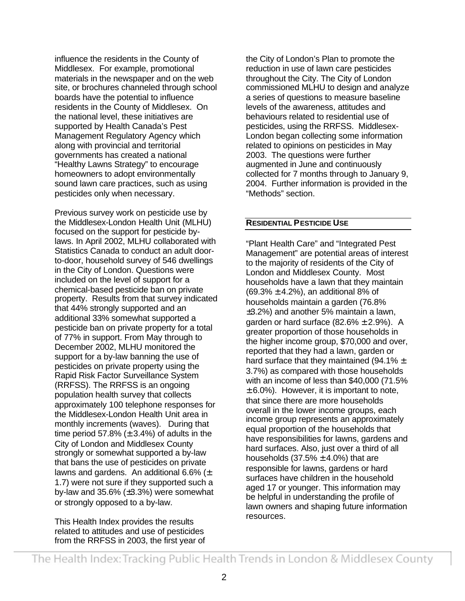influence the residents in the County of Middlesex. For example, promotional materials in the newspaper and on the web site, or brochures channeled through school boards have the potential to influence residents in the County of Middlesex. On the national level, these initiatives are supported by Health Canada's Pest Management Regulatory Agency which along with provincial and territorial governments has created a national "Healthy Lawns Strategy" to encourage homeowners to adopt environmentally sound lawn care practices, such as using pesticides only when necessary.

Previous survey work on pesticide use by the Middlesex-London Health Unit (MLHU) focused on the support for pesticide bylaws. In April 2002, MLHU collaborated with Statistics Canada to conduct an adult doorto-door, household survey of 546 dwellings in the City of London. Questions were included on the level of support for a chemical-based pesticide ban on private property. Results from that survey indicated that 44% strongly supported and an additional 33% somewhat supported a pesticide ban on private property for a total of 77% in support. From May through to December 2002, MLHU monitored the support for a by-law banning the use of pesticides on private property using the Rapid Risk Factor Surveillance System (RRFSS). The RRFSS is an ongoing population health survey that collects approximately 100 telephone responses for the Middlesex-London Health Unit area in monthly increments (waves). During that time period 57.8% ( $\pm$  3.4%) of adults in the City of London and Middlesex County strongly or somewhat supported a by-law that bans the use of pesticides on private lawns and gardens. An additional 6.6%  $(\pm)$ 1.7) were not sure if they supported such a by-law and 35.6% (±3.3%) were somewhat or strongly opposed to a by-law.

This Health Index provides the results related to attitudes and use of pesticides from the RRFSS in 2003, the first year of the City of London's Plan to promote the reduction in use of lawn care pesticides throughout the City. The City of London commissioned MLHU to design and analyze a series of questions to measure baseline levels of the awareness, attitudes and behaviours related to residential use of pesticides, using the RRFSS. Middlesex-London began collecting some information related to opinions on pesticides in May 2003. The questions were further augmented in June and continuously collected for 7 months through to January 9, 2004. Further information is provided in the "Methods" section.

## **RESIDENTIAL PESTICIDE USE**

"Plant Health Care" and "Integrated Pest Management" are potential areas of interest to the majority of residents of the City of London and Middlesex County. Most households have a lawn that they maintain  $(69.3% \pm 4.2%)$ , an additional 8% of households maintain a garden (76.8% ±3.2%) and another 5% maintain a lawn, garden or hard surface  $(82.6\% \pm 2.9\%)$ . A greater proportion of those households in the higher income group, \$70,000 and over, reported that they had a lawn, garden or hard surface that they maintained (94.1%  $\pm$ 3.7%) as compared with those households with an income of less than \$40,000 (71.5%  $\pm$  6.0%). However, it is important to note, that since there are more households overall in the lower income groups, each income group represents an approximately equal proportion of the households that have responsibilities for lawns, gardens and hard surfaces. Also, just over a third of all households  $(37.5% \pm 4.0%)$  that are responsible for lawns, gardens or hard surfaces have children in the household aged 17 or younger. This information may be helpful in understanding the profile of lawn owners and shaping future information resources.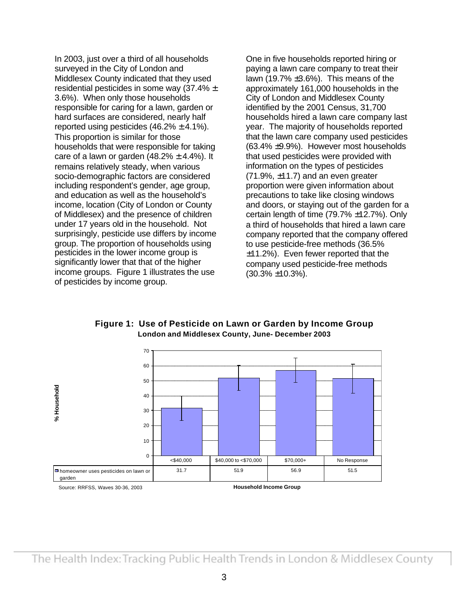In 2003, just over a third of all households surveyed in the City of London and Middlesex County indicated that they used residential pesticides in some way  $(37.4\% \pm$ 3.6%). When only those households responsible for caring for a lawn, garden or hard surfaces are considered, nearly half reported using pesticides  $(46.2\% \pm 4.1\%)$ . This proportion is similar for those households that were responsible for taking care of a lawn or garden  $(48.2% \pm 4.4%)$ . It remains relatively steady, when various socio-demographic factors are considered including respondent's gender, age group, and education as well as the household's income, location (City of London or County of Middlesex) and the presence of children under 17 years old in the household. Not surprisingly, pesticide use differs by income group. The proportion of households using pesticides in the lower income group is significantly lower that that of the higher income groups. Figure 1 illustrates the use of pesticides by income group.

One in five households reported hiring or paying a lawn care company to treat their lawn (19.7%  $\pm 3.6$ %). This means of the approximately 161,000 households in the City of London and Middlesex County identified by the 2001 Census, 31,700 households hired a lawn care company last year. The majority of households reported that the lawn care company used pesticides (63.4% ±9.9%). However most households that used pesticides were provided with information on the types of pesticides  $(71.9\%, \pm 11.7)$  and an even greater proportion were given information about precautions to take like closing windows and doors, or staying out of the garden for a certain length of time (79.7% ±12.7%). Only a third of households that hired a lawn care company reported that the company offered to use pesticide-free methods (36.5% ±11.2%). Even fewer reported that the company used pesticide-free methods (30.3% ±10.3%).

0 10 20 30 40 50 60 70 **Household Income Group % Household** ■ homeowner uses pesticides on lawn or garden 31.7 51.9 56.9 51.5 <\$40,000 \$40,000 to <\$70,000 \$70,000+ No Response Source: RRFSS, Waves 30-36, 2003

**Figure 1: Use of Pesticide on Lawn or Garden by Income Group London and Middlesex County, June- December 2003**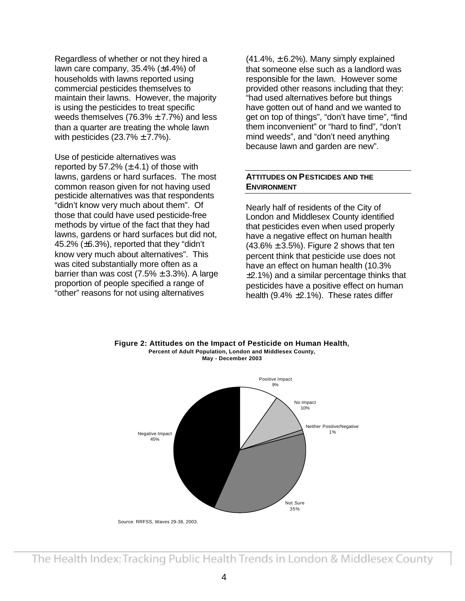Regardless of whether or not they hired a lawn care company,  $35.4\%$  ( $\pm 4.4\%$ ) of households with lawns reported using commercial pesticides themselves to maintain their lawns. However, the majority is using the pesticides to treat specific weeds themselves  $(76.3% \pm 7.7%)$  and less than a quarter are treating the whole lawn with pesticides  $(23.7\% \pm 7.7\%)$ .

Use of pesticide alternatives was reported by 57.2%  $(\pm 4.1)$  of those with lawns, gardens or hard surfaces. The most common reason given for not having used pesticide alternatives was that respondents "didn't know very much about them". Of those that could have used pesticide-free methods by virtue of the fact that they had lawns, gardens or hard surfaces but did not, 45.2% (±6.3%), reported that they "didn't know very much about alternatives". This was cited substantially more often as a barrier than was cost  $(7.5% \pm 3.3%)$ . A large proportion of people specified a range of "other" reasons for not using alternatives

 $(41.4\%, \pm 6.2\%)$ . Many simply explained that someone else such as a landlord was responsible for the lawn. However some provided other reasons including that they: "had used alternatives before but things have gotten out of hand and we wanted to get on top of things", "don't have time", "find them inconvenient" or "hard to find", "don't mind weeds", and "don't need anything because lawn and garden are new".

#### **ATTITUDES ON PESTICIDES AND THE ENVIRONMENT**

Nearly half of residents of the City of London and Middlesex County identified that pesticides even when used properly have a negative effect on human health  $(43.6\% \pm 3.5\%)$ . Figure 2 shows that ten percent think that pesticide use does not have an effect on human health (10.3% ±2.1%) and a similar percentage thinks that pesticides have a positive effect on human health (9.4% ±2.1%). These rates differ



# 4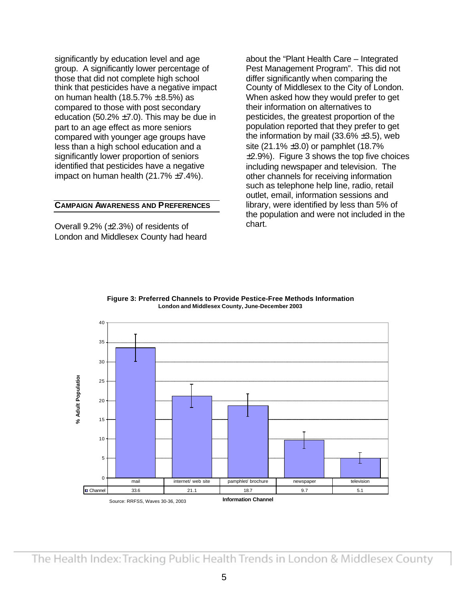significantly by education level and age group. A significantly lower percentage of those that did not complete high school think that pesticides have a negative impact on human health (18.5.7%  $\pm$  8.5%) as compared to those with post secondary education (50.2%  $\pm$ 7.0). This may be due in part to an age effect as more seniors compared with younger age groups have less than a high school education and a significantly lower proportion of seniors identified that pesticides have a negative impact on human health (21.7% ±7.4%).

#### **CAMPAIGN AWARENESS AND PREFERENCES**

Overall 9.2% (±2.3%) of residents of London and Middlesex County had heard about the "Plant Health Care – Integrated Pest Management Program". This did not differ significantly when comparing the County of Middlesex to the City of London. When asked how they would prefer to get their information on alternatives to pesticides, the greatest proportion of the population reported that they prefer to get the information by mail  $(33.6\% \pm 3.5)$ , web site (21.1% ±3.0) or pamphlet (18.7%  $\pm$ 2.9%). Figure 3 shows the top five choices including newspaper and television. The other channels for receiving information such as telephone help line, radio, retail outlet, email, information sessions and library, were identified by less than 5% of the population and were not included in the chart.



**Figure 3: Preferred Channels to Provide Pestice-Free Methods Information London and Middlesex County, June-December 2003**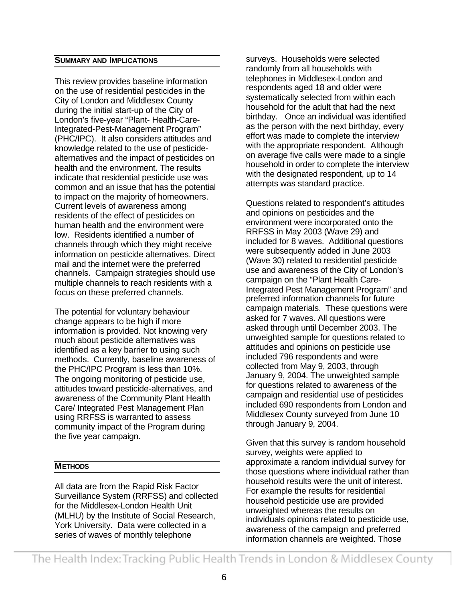#### **SUMMARY AND IMPLICATIONS**

This review provides baseline information on the use of residential pesticides in the City of London and Middlesex County during the initial start-up of the City of London's five-year "Plant- Health-Care-Integrated-Pest-Management Program" (PHC/IPC). It also considers attitudes and knowledge related to the use of pesticidealternatives and the impact of pesticides on health and the environment. The results indicate that residential pesticide use was common and an issue that has the potential to impact on the majority of homeowners. Current levels of awareness among residents of the effect of pesticides on human health and the environment were low. Residents identified a number of channels through which they might receive information on pesticide alternatives. Direct mail and the internet were the preferred channels. Campaign strategies should use multiple channels to reach residents with a focus on these preferred channels.

The potential for voluntary behaviour change appears to be high if more information is provided. Not knowing very much about pesticide alternatives was identified as a key barrier to using such methods. Currently, baseline awareness of the PHC/IPC Program is less than 10%. The ongoing monitoring of pesticide use, attitudes toward pesticide-alternatives, and awareness of the Community Plant Health Care/ Integrated Pest Management Plan using RRFSS is warranted to assess community impact of the Program during the five year campaign.

## **METHODS**

All data are from the Rapid Risk Factor Surveillance System (RRFSS) and collected for the Middlesex-London Health Unit (MLHU) by the Institute of Social Research, York University. Data were collected in a series of waves of monthly telephone

surveys. Households were selected randomly from all households with telephones in Middlesex-London and respondents aged 18 and older were systematically selected from within each household for the adult that had the next birthday. Once an individual was identified as the person with the next birthday, every effort was made to complete the interview with the appropriate respondent. Although on average five calls were made to a single household in order to complete the interview with the designated respondent, up to 14 attempts was standard practice.

Questions related to respondent's attitudes and opinions on pesticides and the environment were incorporated onto the RRFSS in May 2003 (Wave 29) and included for 8 waves. Additional questions were subsequently added in June 2003 (Wave 30) related to residential pesticide use and awareness of the City of London's campaign on the "Plant Health Care-Integrated Pest Management Program" and preferred information channels for future campaign materials. These questions were asked for 7 waves. All questions were asked through until December 2003. The unweighted sample for questions related to attitudes and opinions on pesticide use included 796 respondents and were collected from May 9, 2003, through January 9, 2004. The unweighted sample for questions related to awareness of the campaign and residential use of pesticides included 690 respondents from London and Middlesex County surveyed from June 10 through January 9, 2004.

Given that this survey is random household survey, weights were applied to approximate a random individual survey for those questions where individual rather than household results were the unit of interest. For example the results for residential household pesticide use are provided unweighted whereas the results on individuals opinions related to pesticide use, awareness of the campaign and preferred information channels are weighted. Those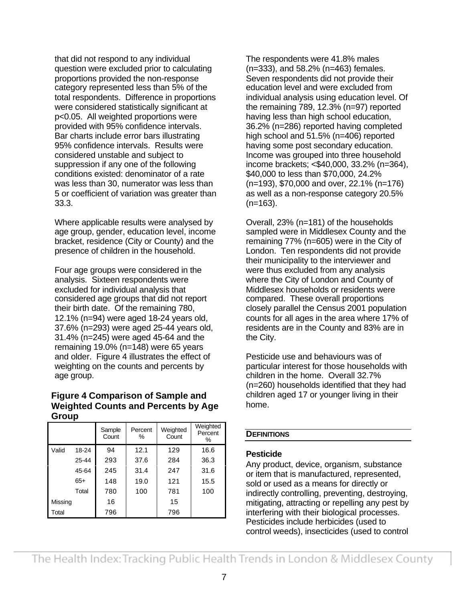that did not respond to any individual question were excluded prior to calculating proportions provided the non-response category represented less than 5% of the total respondents. Difference in proportions were considered statistically significant at p<0.05. All weighted proportions were provided with 95% confidence intervals. Bar charts include error bars illustrating 95% confidence intervals. Results were considered unstable and subject to suppression if any one of the following conditions existed: denominator of a rate was less than 30, numerator was less than 5 or coefficient of variation was greater than 33.3.

Where applicable results were analysed by age group, gender, education level, income bracket, residence (City or County) and the presence of children in the household.

Four age groups were considered in the analysis. Sixteen respondents were excluded for individual analysis that considered age groups that did not report their birth date. Of the remaining 780, 12.1% (n=94) were aged 18-24 years old, 37.6% (n=293) were aged 25-44 years old, 31.4% (n=245) were aged 45-64 and the remaining 19.0% (n=148) were 65 years and older. Figure 4 illustrates the effect of weighting on the counts and percents by age group.

## **Figure 4 Comparison of Sample and Weighted Counts and Percents by Age Group**

|         |       | Sample<br>Count | Percent<br>℅ | Weighted<br>Count | Weighted<br>Percent<br>% |
|---------|-------|-----------------|--------------|-------------------|--------------------------|
| Valid   | 18-24 | 94              | 12.1         | 129               | 16.6                     |
|         | 25-44 | 293             | 37.6         | 284               | 36.3                     |
|         | 45-64 | 245             | 31.4         | 247               | 31.6                     |
|         | $65+$ | 148             | 19.0         | 121               | 15.5                     |
|         | Total | 780             | 100          | 781               | 100                      |
| Missing |       | 16              |              | 15                |                          |
| Total   |       | 796             |              | 796               |                          |

The respondents were 41.8% males (n=333), and 58.2% (n=463) females. Seven respondents did not provide their education level and were excluded from individual analysis using education level. Of the remaining 789, 12.3% (n=97) reported having less than high school education, 36.2% (n=286) reported having completed high school and 51.5% (n=406) reported having some post secondary education. Income was grouped into three household income brackets; <\$40,000, 33.2% (n=364), \$40,000 to less than \$70,000, 24.2% (n=193), \$70,000 and over, 22.1% (n=176) as well as a non-response category 20.5%  $(n=163)$ .

Overall, 23% (n=181) of the households sampled were in Middlesex County and the remaining 77% (n=605) were in the City of London. Ten respondents did not provide their municipality to the interviewer and were thus excluded from any analysis where the City of London and County of Middlesex households or residents were compared. These overall proportions closely parallel the Census 2001 population counts for all ages in the area where 17% of residents are in the County and 83% are in the City.

Pesticide use and behaviours was of particular interest for those households with children in the home. Overall 32.7% (n=260) households identified that they had children aged 17 or younger living in their home.

## **DEFINITIONS**

# **Pesticide**

Any product, device, organism, substance or item that is manufactured, represented, sold or used as a means for directly or indirectly controlling, preventing, destroying, mitigating, attracting or repelling any pest by interfering with their biological processes. Pesticides include herbicides (used to control weeds), insecticides (used to control